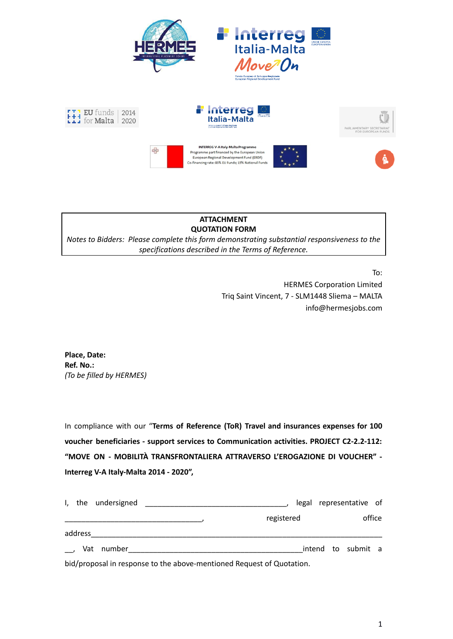





## **ATTACHMENT QUOTATION FORM**

*Notes to Bidders: Please complete this form demonstrating substantial responsiveness to the specifications described in the Terms of Reference.*

To:

HERMES Corporation Limited Triq Saint Vincent, 7 - SLM1448 Sliema – MALTA info@hermesjobs.com

**Place, Date: Ref. No.:** *(To be filled by HERMES)*

In compliance with our "**Terms of Reference (ToR) Travel and insurances expenses for 100 voucher beneficiaries - support services to Communication activities. PROJECT C2-2.2-112: "MOVE ON - MOBILITÀ TRANSFRONTALIERA ATTRAVERSO L'EROGAZIONE DI VOUCHER" - Interreg V-A Italy-Malta 2014 - 2020",**

|         | I, the undersigned |                                                                       |  | legal  |  | representative of  |  |
|---------|--------------------|-----------------------------------------------------------------------|--|--------|--|--------------------|--|
|         |                    | registered                                                            |  | office |  |                    |  |
| address |                    |                                                                       |  |        |  |                    |  |
|         | Vat number         |                                                                       |  |        |  | intend to submit a |  |
|         |                    | bid/proposal in response to the above-mentioned Request of Quotation. |  |        |  |                    |  |